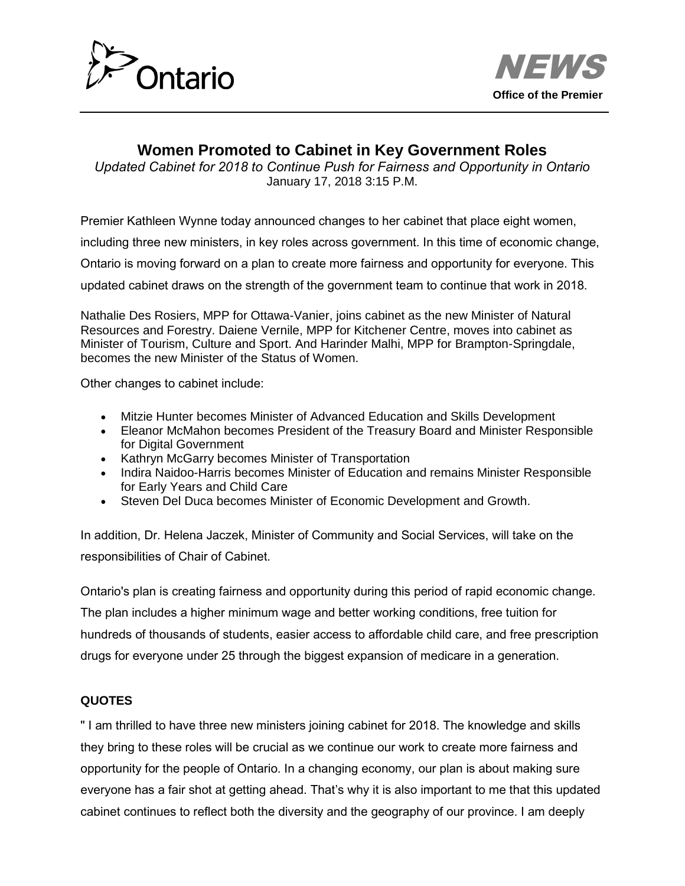



## **Women Promoted to Cabinet in Key Government Roles**

*Updated Cabinet for 2018 to Continue Push for Fairness and Opportunity in Ontario* January 17, 2018 3:15 P.M.

Premier Kathleen Wynne today announced changes to her cabinet that place eight women,

including three new ministers, in key roles across government. In this time of economic change,

Ontario is moving forward on a plan to create more fairness and opportunity for everyone. This

updated cabinet draws on the strength of the government team to continue that work in 2018.

Nathalie Des Rosiers, MPP for Ottawa-Vanier, joins cabinet as the new Minister of Natural Resources and Forestry. Daiene Vernile, MPP for Kitchener Centre, moves into cabinet as Minister of Tourism, Culture and Sport. And Harinder Malhi, MPP for Brampton-Springdale, becomes the new Minister of the Status of Women.

Other changes to cabinet include:

- Mitzie Hunter becomes Minister of Advanced Education and Skills Development
- Eleanor McMahon becomes President of the Treasury Board and Minister Responsible for Digital Government
- Kathryn McGarry becomes Minister of Transportation
- Indira Naidoo-Harris becomes Minister of Education and remains Minister Responsible for Early Years and Child Care
- Steven Del Duca becomes Minister of Economic Development and Growth.

In addition, Dr. Helena Jaczek, Minister of Community and Social Services, will take on the responsibilities of Chair of Cabinet.

Ontario's plan is creating fairness and opportunity during this period of rapid economic change. The plan includes a higher minimum wage and better working conditions, free tuition for hundreds of thousands of students, easier access to affordable child care, and free prescription drugs for everyone under 25 through the biggest expansion of medicare in a generation.

## **QUOTES**

" I am thrilled to have three new ministers joining cabinet for 2018. The knowledge and skills they bring to these roles will be crucial as we continue our work to create more fairness and opportunity for the people of Ontario. In a changing economy, our plan is about making sure everyone has a fair shot at getting ahead. That's why it is also important to me that this updated cabinet continues to reflect both the diversity and the geography of our province. I am deeply